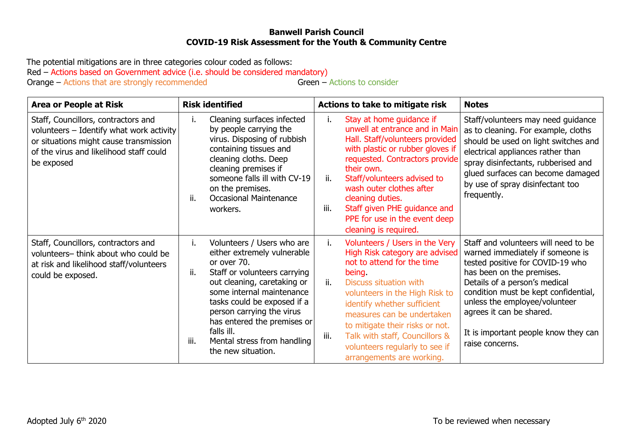## **Banwell Parish Council COVID-19 Risk Assessment for the Youth & Community Centre**

The potential mitigations are in three categories colour coded as follows: Red – Actions based on Government advice (i.e. should be considered mandatory)<br>Orange – Actions that are strongly recommended Green – Actions to consider Orange – Actions that are strongly recommended

| <b>Area or People at Risk</b>                                                                                                                                                      | <b>Risk identified</b>                                                                                                                                                                                                                                                                                                                                  | Actions to take to mitigate risk                                                                                                                                                                                                                                                                                                                                                                  | <b>Notes</b>                                                                                                                                                                                                                                                                                                                               |
|------------------------------------------------------------------------------------------------------------------------------------------------------------------------------------|---------------------------------------------------------------------------------------------------------------------------------------------------------------------------------------------------------------------------------------------------------------------------------------------------------------------------------------------------------|---------------------------------------------------------------------------------------------------------------------------------------------------------------------------------------------------------------------------------------------------------------------------------------------------------------------------------------------------------------------------------------------------|--------------------------------------------------------------------------------------------------------------------------------------------------------------------------------------------------------------------------------------------------------------------------------------------------------------------------------------------|
| Staff, Councillors, contractors and<br>volunteers - Identify what work activity<br>or situations might cause transmission<br>of the virus and likelihood staff could<br>be exposed | Cleaning surfaces infected<br>i.<br>by people carrying the<br>virus. Disposing of rubbish<br>containing tissues and<br>cleaning cloths. Deep<br>cleaning premises if<br>someone falls ill with CV-19<br>on the premises.<br>ii.<br><b>Occasional Maintenance</b><br>workers.                                                                            | Stay at home guidance if<br>ı.<br>unwell at entrance and in Main<br>Hall. Staff/volunteers provided<br>with plastic or rubber gloves if<br>requested. Contractors provide<br>their own.<br>ii.<br>Staff/volunteers advised to<br>wash outer clothes after<br>cleaning duties.<br>iii.<br>Staff given PHE guidance and<br>PPE for use in the event deep<br>cleaning is required.                   | Staff/volunteers may need guidance<br>as to cleaning. For example, cloths<br>should be used on light switches and<br>electrical appliances rather than<br>spray disinfectants, rubberised and<br>glued surfaces can become damaged<br>by use of spray disinfectant too<br>frequently.                                                      |
| Staff, Councillors, contractors and<br>volunteers- think about who could be<br>at risk and likelihood staff/volunteers<br>could be exposed.                                        | Volunteers / Users who are<br>i.<br>either extremely vulnerable<br>or over 70.<br>ii.<br>Staff or volunteers carrying<br>out cleaning, caretaking or<br>some internal maintenance<br>tasks could be exposed if a<br>person carrying the virus<br>has entered the premises or<br>falls ill.<br>iii.<br>Mental stress from handling<br>the new situation. | Volunteers / Users in the Very<br>i.<br>High Risk category are advised<br>not to attend for the time<br>being.<br><b>Discuss situation with</b><br>ii.<br>volunteers in the High Risk to<br>identify whether sufficient<br>measures can be undertaken<br>to mitigate their risks or not.<br>Talk with staff, Councillors &<br>iii.<br>volunteers regularly to see if<br>arrangements are working. | Staff and volunteers will need to be<br>warned immediately if someone is<br>tested positive for COVID-19 who<br>has been on the premises.<br>Details of a person's medical<br>condition must be kept confidential,<br>unless the employee/volunteer<br>agrees it can be shared.<br>It is important people know they can<br>raise concerns. |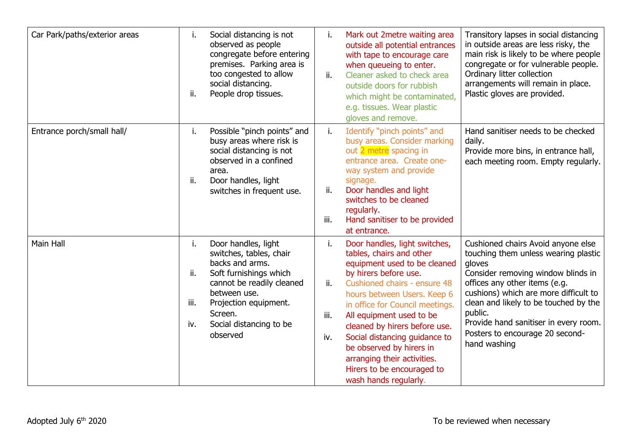| Car Park/paths/exterior areas | i.<br>ii.                | Social distancing is not<br>observed as people<br>congregate before entering<br>premises. Parking area is<br>too congested to allow<br>social distancing.<br>People drop tissues.                                   | i.<br>ii.                | Mark out 2metre waiting area<br>outside all potential entrances<br>with tape to encourage care<br>when queueing to enter.<br>Cleaner asked to check area<br>outside doors for rubbish<br>which might be contaminated,<br>e.g. tissues. Wear plastic<br>gloves and remove.                                                                                                                                                            | Transitory lapses in social distancing<br>in outside areas are less risky, the<br>main risk is likely to be where people<br>congregate or for vulnerable people.<br>Ordinary litter collection<br>arrangements will remain in place.<br>Plastic gloves are provided.                                                                                 |
|-------------------------------|--------------------------|---------------------------------------------------------------------------------------------------------------------------------------------------------------------------------------------------------------------|--------------------------|--------------------------------------------------------------------------------------------------------------------------------------------------------------------------------------------------------------------------------------------------------------------------------------------------------------------------------------------------------------------------------------------------------------------------------------|------------------------------------------------------------------------------------------------------------------------------------------------------------------------------------------------------------------------------------------------------------------------------------------------------------------------------------------------------|
| Entrance porch/small hall/    | i.<br>ii.                | Possible "pinch points" and<br>busy areas where risk is<br>social distancing is not<br>observed in a confined<br>area.<br>Door handles, light<br>switches in frequent use.                                          | i.<br>ii.<br>iii.        | Identify "pinch points" and<br>busy areas. Consider marking<br>out 2 metre spacing in<br>entrance area. Create one-<br>way system and provide<br>signage.<br>Door handles and light<br>switches to be cleaned<br>regularly.<br>Hand sanitiser to be provided<br>at entrance.                                                                                                                                                         | Hand sanitiser needs to be checked<br>daily.<br>Provide more bins, in entrance hall,<br>each meeting room. Empty regularly.                                                                                                                                                                                                                          |
| Main Hall                     | i.<br>ii.<br>iii.<br>iv. | Door handles, light<br>switches, tables, chair<br>backs and arms.<br>Soft furnishings which<br>cannot be readily cleaned<br>between use.<br>Projection equipment.<br>Screen.<br>Social distancing to be<br>observed | i.<br>ii.<br>iii.<br>iv. | Door handles, light switches,<br>tables, chairs and other<br>equipment used to be cleaned<br>by hirers before use.<br>Cushioned chairs - ensure 48<br>hours between Users. Keep 6<br>in office for Council meetings.<br>All equipment used to be<br>cleaned by hirers before use.<br>Social distancing guidance to<br>be observed by hirers in<br>arranging their activities.<br>Hirers to be encouraged to<br>wash hands regularly. | Cushioned chairs Avoid anyone else<br>touching them unless wearing plastic<br>gloves<br>Consider removing window blinds in<br>offices any other items (e.g.<br>cushions) which are more difficult to<br>clean and likely to be touched by the<br>public.<br>Provide hand sanitiser in every room.<br>Posters to encourage 20 second-<br>hand washing |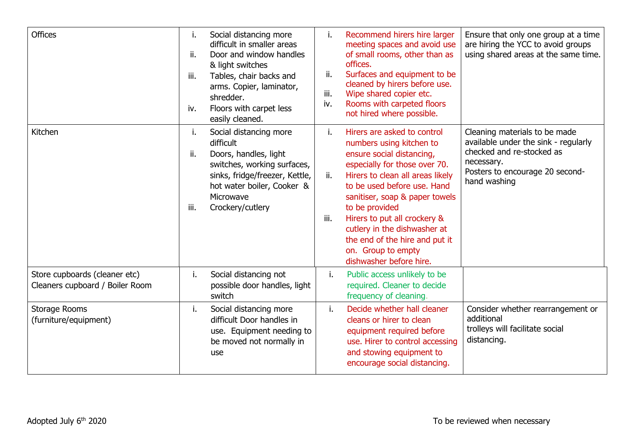| <b>Offices</b>                                                   | i.<br>ii.<br>iii.<br>iv. | Social distancing more<br>difficult in smaller areas<br>Door and window handles<br>& light switches<br>Tables, chair backs and<br>arms. Copier, laminator,<br>shredder.<br>Floors with carpet less<br>easily cleaned. | ii.<br>iii.<br>iv. | Recommend hirers hire larger<br>meeting spaces and avoid use<br>of small rooms, other than as<br>offices.<br>Surfaces and equipment to be<br>cleaned by hirers before use.<br>Wipe shared copier etc.<br>Rooms with carpeted floors<br>not hired where possible.                                                                                                                                | Ensure that only one group at a time<br>are hiring the YCC to avoid groups<br>using shared areas at the same time.                                                  |
|------------------------------------------------------------------|--------------------------|-----------------------------------------------------------------------------------------------------------------------------------------------------------------------------------------------------------------------|--------------------|-------------------------------------------------------------------------------------------------------------------------------------------------------------------------------------------------------------------------------------------------------------------------------------------------------------------------------------------------------------------------------------------------|---------------------------------------------------------------------------------------------------------------------------------------------------------------------|
| Kitchen                                                          | i.<br>ii.<br>iii.        | Social distancing more<br>difficult<br>Doors, handles, light<br>switches, working surfaces,<br>sinks, fridge/freezer, Kettle,<br>hot water boiler, Cooker &<br>Microwave<br>Crockery/cutlery                          | i.<br>ii.<br>iii.  | Hirers are asked to control<br>numbers using kitchen to<br>ensure social distancing,<br>especially for those over 70.<br>Hirers to clean all areas likely<br>to be used before use. Hand<br>sanitiser, soap & paper towels<br>to be provided<br>Hirers to put all crockery &<br>cutlery in the dishwasher at<br>the end of the hire and put it<br>on. Group to empty<br>dishwasher before hire. | Cleaning materials to be made<br>available under the sink - regularly<br>checked and re-stocked as<br>necessary.<br>Posters to encourage 20 second-<br>hand washing |
| Store cupboards (cleaner etc)<br>Cleaners cupboard / Boiler Room | i.                       | Social distancing not<br>possible door handles, light<br>switch                                                                                                                                                       | j.                 | Public access unlikely to be<br>required. Cleaner to decide<br>frequency of cleaning.                                                                                                                                                                                                                                                                                                           |                                                                                                                                                                     |
| Storage Rooms<br>(furniture/equipment)                           | i.                       | Social distancing more<br>difficult Door handles in<br>use. Equipment needing to<br>be moved not normally in<br>use                                                                                                   | j.                 | Decide whether hall cleaner<br>cleans or hirer to clean<br>equipment required before<br>use. Hirer to control accessing<br>and stowing equipment to<br>encourage social distancing.                                                                                                                                                                                                             | Consider whether rearrangement or<br>additional<br>trolleys will facilitate social<br>distancing.                                                                   |